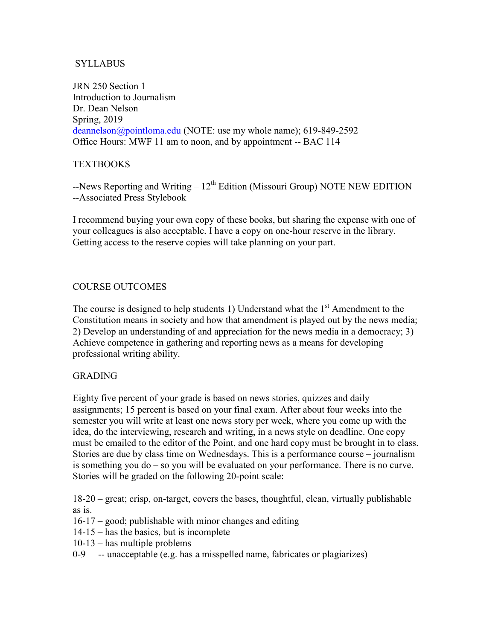## **SYLLABUS**

JRN 250 Section 1 Introduction to Journalism Dr. Dean Nelson Spring, 2019 [deannelson@pointloma.edu](mailto:deannelson@pointloma.edu) (NOTE: use my whole name); 619-849-2592 Office Hours: MWF 11 am to noon, and by appointment -- BAC 114

# TEXTBOOKS

 $-$ News Reporting and Writing –  $12<sup>th</sup>$  Edition (Missouri Group) NOTE NEW EDITION --Associated Press Stylebook

I recommend buying your own copy of these books, but sharing the expense with one of your colleagues is also acceptable. I have a copy on one-hour reserve in the library. Getting access to the reserve copies will take planning on your part.

## COURSE OUTCOMES

The course is designed to help students 1) Understand what the  $1<sup>st</sup>$  Amendment to the Constitution means in society and how that amendment is played out by the news media; 2) Develop an understanding of and appreciation for the news media in a democracy; 3) Achieve competence in gathering and reporting news as a means for developing professional writing ability.

## GRADING

Eighty five percent of your grade is based on news stories, quizzes and daily assignments; 15 percent is based on your final exam. After about four weeks into the semester you will write at least one news story per week, where you come up with the idea, do the interviewing, research and writing, in a news style on deadline. One copy must be emailed to the editor of the Point, and one hard copy must be brought in to class. Stories are due by class time on Wednesdays. This is a performance course – journalism is something you do – so you will be evaluated on your performance. There is no curve. Stories will be graded on the following 20-point scale:

18-20 – great; crisp, on-target, covers the bases, thoughtful, clean, virtually publishable as is.

- 16-17 good; publishable with minor changes and editing
- 14-15 has the basics, but is incomplete
- 10-13 has multiple problems
- 0-9 -- unacceptable (e.g. has a misspelled name, fabricates or plagiarizes)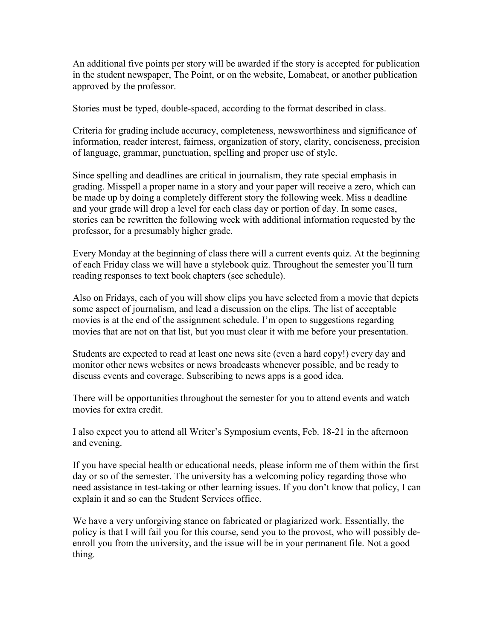An additional five points per story will be awarded if the story is accepted for publication in the student newspaper, The Point, or on the website, Lomabeat, or another publication approved by the professor.

Stories must be typed, double-spaced, according to the format described in class.

Criteria for grading include accuracy, completeness, newsworthiness and significance of information, reader interest, fairness, organization of story, clarity, conciseness, precision of language, grammar, punctuation, spelling and proper use of style.

Since spelling and deadlines are critical in journalism, they rate special emphasis in grading. Misspell a proper name in a story and your paper will receive a zero, which can be made up by doing a completely different story the following week. Miss a deadline and your grade will drop a level for each class day or portion of day. In some cases, stories can be rewritten the following week with additional information requested by the professor, for a presumably higher grade.

Every Monday at the beginning of class there will a current events quiz. At the beginning of each Friday class we will have a stylebook quiz. Throughout the semester you'll turn reading responses to text book chapters (see schedule).

Also on Fridays, each of you will show clips you have selected from a movie that depicts some aspect of journalism, and lead a discussion on the clips. The list of acceptable movies is at the end of the assignment schedule. I'm open to suggestions regarding movies that are not on that list, but you must clear it with me before your presentation.

Students are expected to read at least one news site (even a hard copy!) every day and monitor other news websites or news broadcasts whenever possible, and be ready to discuss events and coverage. Subscribing to news apps is a good idea.

There will be opportunities throughout the semester for you to attend events and watch movies for extra credit.

I also expect you to attend all Writer's Symposium events, Feb. 18-21 in the afternoon and evening.

If you have special health or educational needs, please inform me of them within the first day or so of the semester. The university has a welcoming policy regarding those who need assistance in test-taking or other learning issues. If you don't know that policy, I can explain it and so can the Student Services office.

We have a very unforgiving stance on fabricated or plagiarized work. Essentially, the policy is that I will fail you for this course, send you to the provost, who will possibly deenroll you from the university, and the issue will be in your permanent file. Not a good thing.